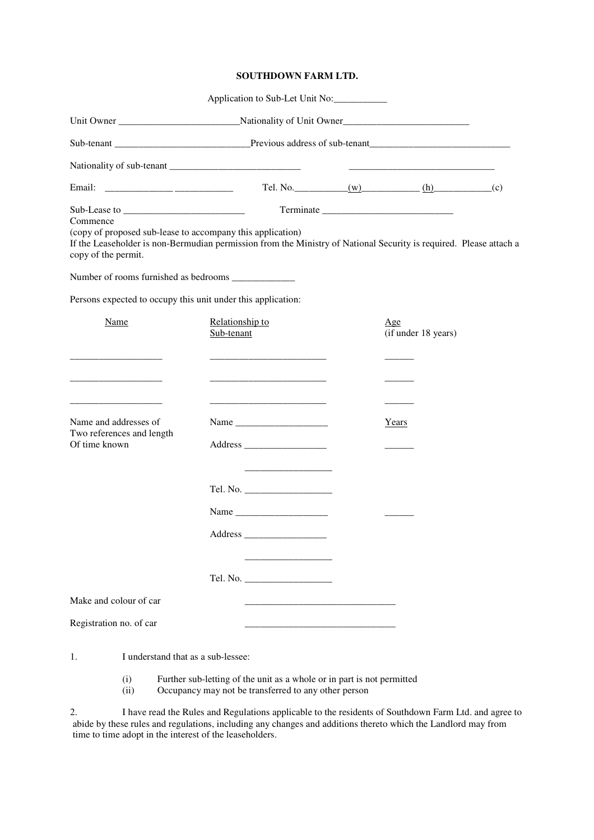## **SOUTHDOWN FARM LTD.**

|                                                                                                                                           | Application to Sub-Let Unit No: |  |                                                                                                                      |  |
|-------------------------------------------------------------------------------------------------------------------------------------------|---------------------------------|--|----------------------------------------------------------------------------------------------------------------------|--|
|                                                                                                                                           |                                 |  |                                                                                                                      |  |
|                                                                                                                                           |                                 |  |                                                                                                                      |  |
|                                                                                                                                           |                                 |  | <u> 1989 - Johann John Stone, mars eta bat eta bat eta bat eta bat eta bat eta bat eta bat eta bat eta bat eta b</u> |  |
| Email:                                                                                                                                    |                                 |  |                                                                                                                      |  |
| Commence<br>(copy of proposed sub-lease to accompany this application)                                                                    |                                 |  |                                                                                                                      |  |
| If the Leaseholder is non-Bermudian permission from the Ministry of National Security is required. Please attach a<br>copy of the permit. |                                 |  |                                                                                                                      |  |
|                                                                                                                                           |                                 |  |                                                                                                                      |  |
| Persons expected to occupy this unit under this application:                                                                              |                                 |  |                                                                                                                      |  |
| Name                                                                                                                                      | Relationship to<br>Sub-tenant   |  | Age<br>(if under 18 years)                                                                                           |  |
|                                                                                                                                           |                                 |  |                                                                                                                      |  |
| <u> 1989 - Johann Barbara, martxa al II-lea (b. 1989)</u>                                                                                 |                                 |  |                                                                                                                      |  |
| Name and addresses of<br>Two references and length                                                                                        |                                 |  | Years                                                                                                                |  |
| Of time known                                                                                                                             |                                 |  |                                                                                                                      |  |
|                                                                                                                                           |                                 |  |                                                                                                                      |  |
|                                                                                                                                           |                                 |  |                                                                                                                      |  |
|                                                                                                                                           |                                 |  |                                                                                                                      |  |
|                                                                                                                                           |                                 |  |                                                                                                                      |  |
| Make and colour of car                                                                                                                    |                                 |  |                                                                                                                      |  |
| Registration no. of car                                                                                                                   |                                 |  |                                                                                                                      |  |

1. I understand that as a sub-lessee:

(i) Further sub-letting of the unit as a whole or in part is not permitted (ii) Occupancy may not be transferred to any other person

Occupancy may not be transferred to any other person

2. I have read the Rules and Regulations applicable to the residents of Southdown Farm Ltd. and agree to abide by these rules and regulations, including any changes and additions thereto which the Landlord may from time to time adopt in the interest of the leaseholders.